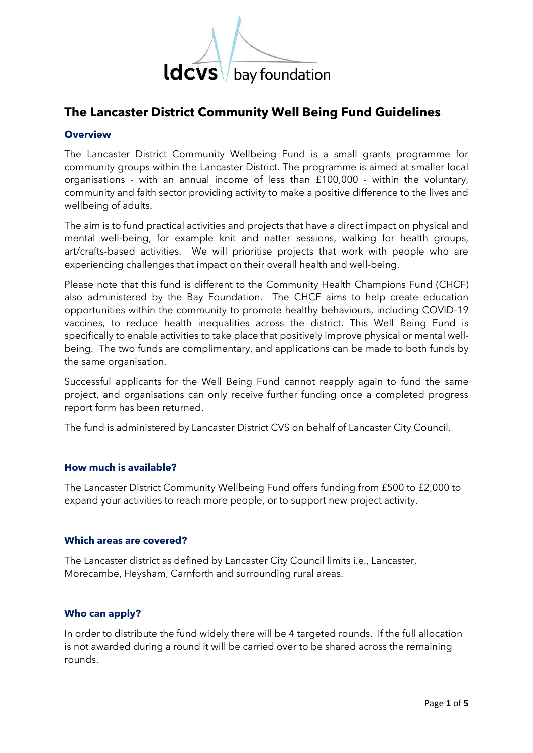

# **The Lancaster District Community Well Being Fund Guidelines**

## **Overview**

The Lancaster District Community Wellbeing Fund is a small grants programme for community groups within the Lancaster District. The programme is aimed at smaller local organisations - with an annual income of less than £100,000 - within the voluntary, community and faith sector providing activity to make a positive difference to the lives and wellbeing of adults.

The aim is to fund practical activities and projects that have a direct impact on physical and mental well-being, for example knit and natter sessions, walking for health groups, art/crafts-based activities. We will prioritise projects that work with people who are experiencing challenges that impact on their overall health and well-being.

Please note that this fund is different to the Community Health Champions Fund (CHCF) also administered by the Bay Foundation. The CHCF aims to help create education opportunities within the community to promote healthy behaviours, including COVID-19 vaccines, to reduce health inequalities across the district. This Well Being Fund is specifically to enable activities to take place that positively improve physical or mental wellbeing. The two funds are complimentary, and applications can be made to both funds by the same organisation.

Successful applicants for the Well Being Fund cannot reapply again to fund the same project, and organisations can only receive further funding once a completed progress report form has been returned.

The fund is administered by Lancaster District CVS on behalf of Lancaster City Council.

## **How much is available?**

The Lancaster District Community Wellbeing Fund offers funding from £500 to £2,000 to expand your activities to reach more people, or to support new project activity.

## **Which areas are covered?**

The Lancaster district as defined by Lancaster City Council limits i.e., Lancaster, Morecambe, Heysham, Carnforth and surrounding rural areas.

## **Who can apply?**

In order to distribute the fund widely there will be 4 targeted rounds. If the full allocation is not awarded during a round it will be carried over to be shared across the remaining rounds.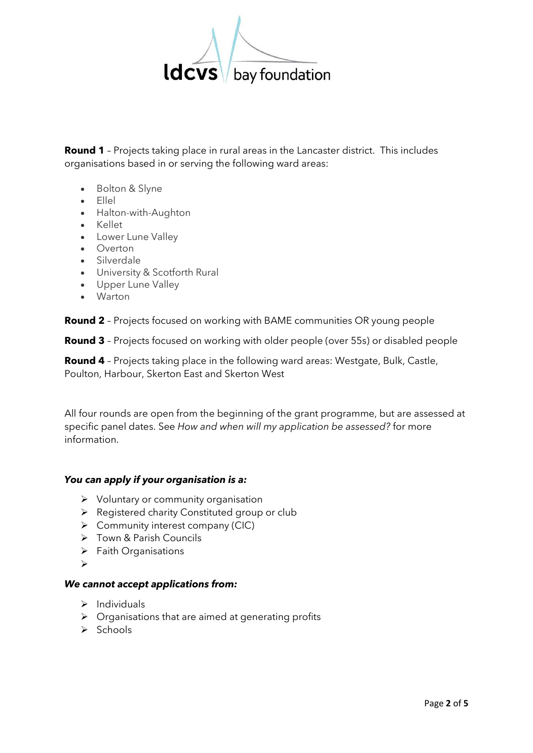

**Round 1** – Projects taking place in rural areas in the Lancaster district. This includes organisations based in or serving the following ward areas:

- Bolton & Slyne
- Ellel
- Halton-with-Aughton
- Kellet
- Lower Lune Valley
- Overton
- Silverdale
- University & Scotforth Rural
- Upper Lune Valley
- Warton

**Round 2** – Projects focused on working with BAME communities OR young people

**Round 3** – Projects focused on working with older people (over 55s) or disabled people

**Round 4** – Projects taking place in the following ward areas: Westgate, Bulk, Castle, Poulton, Harbour, Skerton East and Skerton West

All four rounds are open from the beginning of the grant programme, but are assessed at specific panel dates. See *How and when will my application be assessed?* for more information.

## *You can apply if your organisation is a:*

- ➢ Voluntary or community organisation
- ➢ Registered charity Constituted group or club
- $\triangleright$  Community interest company (CIC)
- ➢ Town & Parish Councils
- ➢ Faith Organisations
- ➢

## *We cannot accept applications from:*

- $\triangleright$  Individuals
- $\triangleright$  Organisations that are aimed at generating profits
- ➢ Schools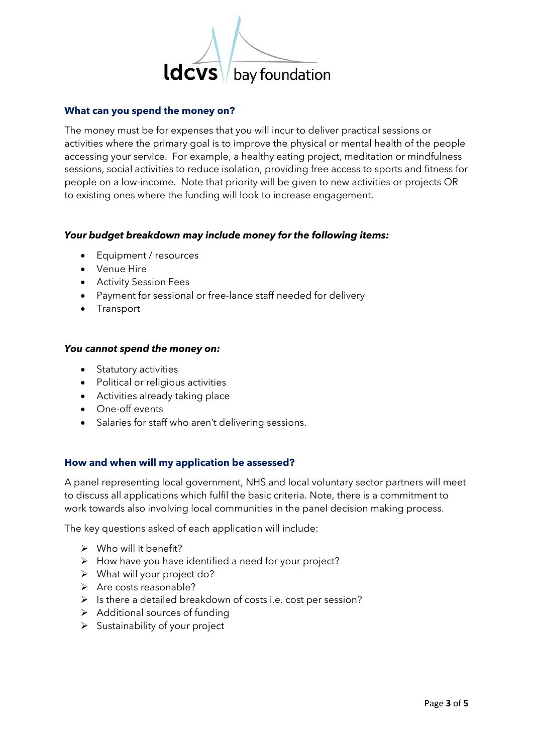

### **What can you spend the money on?**

The money must be for expenses that you will incur to deliver practical sessions or activities where the primary goal is to improve the physical or mental health of the people accessing your service. For example, a healthy eating project, meditation or mindfulness sessions, social activities to reduce isolation, providing free access to sports and fitness for people on a low-income. Note that priority will be given to new activities or projects OR to existing ones where the funding will look to increase engagement.

### *Your budget breakdown may include money for the following items:*

- Equipment / resources
- Venue Hire
- Activity Session Fees
- Payment for sessional or free-lance staff needed for delivery
- Transport

#### *You cannot spend the money on:*

- Statutory activities
- Political or religious activities
- Activities already taking place
- One-off events
- Salaries for staff who aren't delivering sessions.

### **How and when will my application be assessed?**

A panel representing local government, NHS and local voluntary sector partners will meet to discuss all applications which fulfil the basic criteria. Note, there is a commitment to work towards also involving local communities in the panel decision making process.

The key questions asked of each application will include:

- $\triangleright$  Who will it benefit?
- ➢ How have you have identified a need for your project?
- ➢ What will your project do?
- ➢ Are costs reasonable?
- ➢ Is there a detailed breakdown of costs i.e. cost per session?
- ➢ Additional sources of funding
- ➢ Sustainability of your project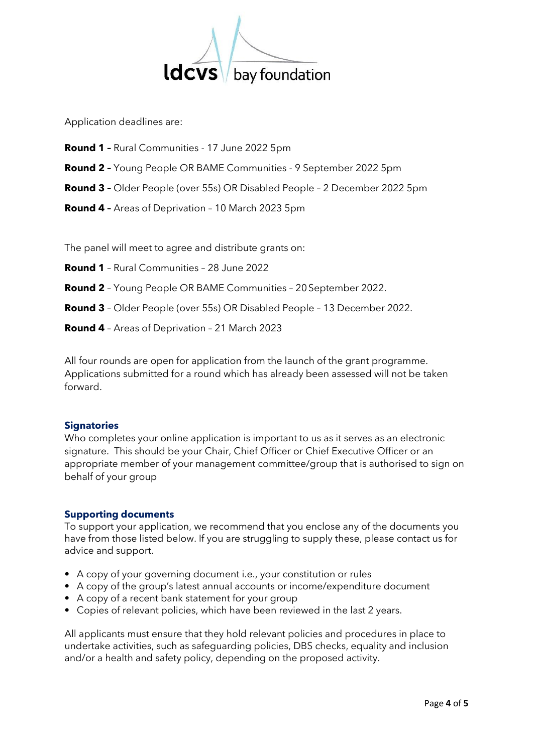

Application deadlines are:

- **Round 1 –** Rural Communities 17 June 2022 5pm
- **Round 2 –** Young People OR BAME Communities 9 September 2022 5pm
- **Round 3 –** Older People (over 55s) OR Disabled People 2 December 2022 5pm
- **Round 4 –** Areas of Deprivation 10 March 2023 5pm

The panel will meet to agree and distribute grants on:

- **Round 1** Rural Communities 28 June 2022
- **Round 2** Young People OR BAME Communities 20September 2022.
- **Round 3** Older People (over 55s) OR Disabled People 13 December 2022.
- **Round 4** Areas of Deprivation 21 March 2023

All four rounds are open for application from the launch of the grant programme. Applications submitted for a round which has already been assessed will not be taken forward.

## **Signatories**

Who completes your online application is important to us as it serves as an electronic signature. This should be your Chair, Chief Officer or Chief Executive Officer or an appropriate member of your management committee/group that is authorised to sign on behalf of your group

## **Supporting documents**

To support your application, we recommend that you enclose any of the documents you have from those listed below. If you are struggling to supply these, please contact us for advice and support.

- A copy of your governing document i.e., your constitution or rules
- A copy of the group's latest annual accounts or income/expenditure document
- A copy of a recent bank statement for your group
- Copies of relevant policies, which have been reviewed in the last 2 years.

All applicants must ensure that they hold relevant policies and procedures in place to undertake activities, such as safeguarding policies, DBS checks, equality and inclusion and/or a health and safety policy, depending on the proposed activity.